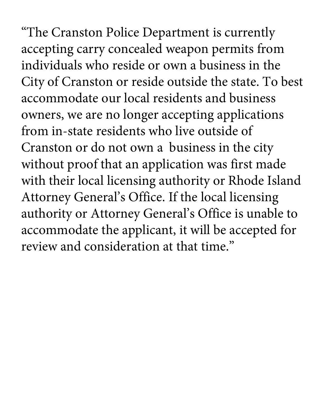"The Cranston Police Department is currently accepting carry concealed weapon permits from individuals who reside or own a business in the City of Cranston or reside outside the state. To best accommodate our local residents and business owners, we are no longer accepting applications from in-state residents who live outside of Cranston or do not own a business in the city without proof that an application was first made with their local licensing authority or Rhode Island Attorney General's Office. If the local licensing authority or Attorney General's Office is unable to accommodate the applicant, it will be accepted for review and consideration at that time."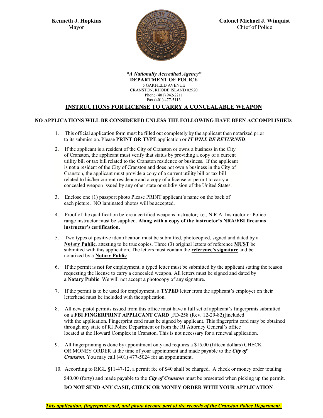

*"A Nationally Accredited Agency"* **DEPARTMENT OF POLICE** 5 GARFIELD AVENUE CRANSTON, RHODE ISLAND 02920 Phone (401) 942-2211 Fax (401) 477-5113

# **INSTRUCTIONS FOR LICENSE TO CARRY A CONCEALABLE WEAPON**

## **NO APPLICATIONS WILL BE CONSIDERED UNLESS THE FOLLOWING HAVE BEEN ACCOMPLISHED:**

- 1. This official application form must be filled out completely by the applicant then notarized prior to its submission. Please **PRINT OR TYPE** application or *IT WILL BE RETURNED*.
- 2. If the applicant is a resident of the City of Cranston or owns a business in the City of Cranston, the applicant must verify that status by providing a copy of a current utility bill or tax bill related to the Cranston residence or business. If the applicant is not a resident of the City of Cranston and does not own a business in the City of Cranston, the applicant must provide a copy of a current utility bill or tax bill related to his/her current residence and a copy of a license or permit to carry a concealed weapon issued by any other state or subdivision of the United States.
- 3. Enclose one (1) passport photo Please PRINT applicant's name on the back of each picture. NO laminated photos will be accepted.
- 4. Proof of the qualification before a certified weapons instructor; i.e., N.R.A. Instructor or Police range instructor must be supplied. **Along with a copy of the instructor's NRA/FBI firearms instructor's certification.**
- 5. Two types of positive identification must be submitted, photocopied, signed and dated by a **Notary Public**, attesting to be true copies. Three (3) original letters of reference **MUST** be submitted with this application. The letters must contain the **reference's signature** and be notarized by a **Notary Public**
- 6. If the permit is **not** for employment, a typed letter must be submitted by the applicant stating the reason requesting the license to carry a concealed weapon. All letters must be signed and dated by a **Notary Public**. We will not accept a photocopy of any signature.
- 7. If the permit is to be used for employment, a **TYPED** letter from the applicant's employer on their letterhead must be included with the application.
- 8. All new pistol permits issued from this office must have a full set of applicant's fingerprints submitted on a **FBI FINGERPRINT APPLICANT CARD** [FD-258 (Rev. 12-29-82)]included with the application. Fingerprint card must be signed by applicant. This fingerprint card may be obtained through any state of RI Police Department or from the RI Attorney General's office located at the Howard Complex in Cranston. This is not necessary for a renewal application.
- 9. All fingerprinting is done by appointment only and requires a \$15.00 (fifteen dollars) CHECK OR MONEY ORDER at the time of your appointment and made payable to the *City of Cranston*. You may call (401) 477-5024 for an appointment.
- 10. According to RIGL **§**11-47-12, a permit fee of \$40 shall be charged. A check or money order totaling \$40.00 (forty) and made payable to the *City of Cranston* must be presented when picking up the permit. **DO NOT SEND ANY CASH, CHECK OR MONEY ORDER WITH YOUR APPLICATION**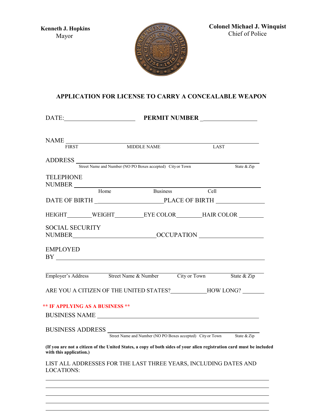

**Colonel Michael J. Winquist**  Chief of Police

# **APPLICATION FOR LICENSE TO CARRY A CONCEALABLE WEAPON**

| DATE:                                                                                                                                                                                                                         |             |             | PERMIT NUMBER |
|-------------------------------------------------------------------------------------------------------------------------------------------------------------------------------------------------------------------------------|-------------|-------------|---------------|
|                                                                                                                                                                                                                               |             |             |               |
|                                                                                                                                                                                                                               |             |             |               |
| <b>FIRST</b>                                                                                                                                                                                                                  | MIDDLE NAME | <b>LAST</b> |               |
|                                                                                                                                                                                                                               |             |             |               |
| ADDRESS Street Name and Number (NO PO Boxes accepted) City or Town                                                                                                                                                            |             |             | State & Zip   |
| <b>TELEPHONE</b>                                                                                                                                                                                                              |             |             |               |
| NUMBER<br>Home Business Cell                                                                                                                                                                                                  |             |             |               |
|                                                                                                                                                                                                                               |             |             |               |
|                                                                                                                                                                                                                               |             |             |               |
| HEIGHT WEIGHT EYE COLOR HAIR COLOR                                                                                                                                                                                            |             |             |               |
| <b>SOCIAL SECURITY</b>                                                                                                                                                                                                        |             |             |               |
|                                                                                                                                                                                                                               |             |             |               |
| <b>EMPLOYED</b>                                                                                                                                                                                                               |             |             |               |
| Employer's Address Street Name & Number City or Town State & Zip                                                                                                                                                              |             |             |               |
| ARE YOU A CITIZEN OF THE UNITED STATES? HOW LONG?                                                                                                                                                                             |             |             |               |
| <b>** IF APPLYING AS A BUSINESS **</b>                                                                                                                                                                                        |             |             |               |
|                                                                                                                                                                                                                               |             |             |               |
| BUSINESS NAME                                                                                                                                                                                                                 |             |             |               |
| BUSINESS ADDRESS SERIES SERVICES SERVICES SERVICES SERVICES SERVICES SERVICES SERVICES SERVICES SERVICES SERVICES SERVICES SERVICES SERVICES SERVICES SERVICES SERVICES SERVICES SERVICES SERVICES SERVICES SERVICES SERVICES |             |             |               |
|                                                                                                                                                                                                                               |             |             |               |
| (If you are not a citizen of the United States, a copy of both sides of your alien registration card must be included<br>with this application.)                                                                              |             |             |               |
| LIST ALL ADDRESSES FOR THE LAST THREE YEARS, INCLUDING DATES AND<br><b>LOCATIONS:</b>                                                                                                                                         |             |             |               |
|                                                                                                                                                                                                                               |             |             |               |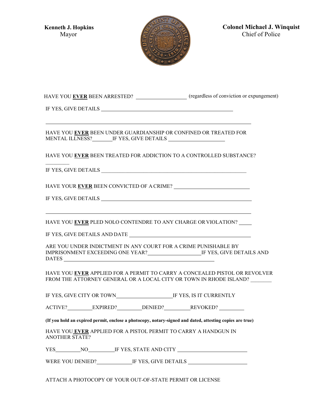

**Colonel Michael J. Winquist**  Chief of Police

| HAVE YOU <b>EVER</b> BEEN ARRESTED? | (regardless of conviction or expungement) |
|-------------------------------------|-------------------------------------------|
|-------------------------------------|-------------------------------------------|

IF YES, GIVE DETAILS

HAVE YOU **EVER** BEEN UNDER GUARDIANSHIP OR CONFINED OR TREATED FOR MENTAL ILLNESS? IF YES, GIVE DETAILS

HAVE YOU **EVER** BEEN TREATED FOR ADDICTION TO A CONTROLLED SUBSTANCE?

IF YES, GIVE DETAILS

 $\frac{1}{2}$ 

HAVE YOUR **EVER** BEEN CONVICTED OF A CRIME?

IF YES, GIVE DETAILS

HAVE YOU **EVER** PLED NOLO CONTENDRE TO ANY CHARGE OR VIOLATION?

IF YES, GIVE DETAILS AND DATE

ARE YOU UNDER INDICTMENT IN ANY COURT FOR A CRIME PUNISHABLE BY IMPRISONMENT EXCEEDING ONE YEAR? IF YES, GIVE DETAILS AND DATES

HAVE YOU **EVER** APPLIED FOR A PERMIT TO CARRY A CONCEALED PISTOL OR REVOLVER FROM THE ATTORNEY GENERAL OR A LOCAL CITY OR TOWN IN RHODE ISLAND?

IF YES, GIVE CITY OR TOWN IF YES, IS IT CURRENTLY

ACTIVE? EXPIRED? DENIED? REVOKED?

**(If you hold an expired permit, enclose a photocopy, notary-signed and dated, attesting copies are true)**

HAVE YOU **EVER** APPLIED FOR A PISTOL PERMIT TO CARRY A HANDGUN IN ANOTHER STATE?

YES NO IF YES, STATE AND CITY

WERE YOU DENIED? IF YES, GIVE DETAILS

ATTACH A PHOTOCOPY OF YOUR OUT-OF-STATE PERMIT OR LICENSE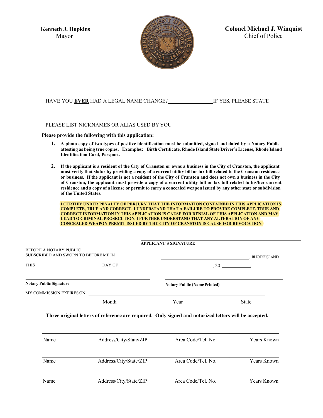

**Colonel Michael J. Winquist**  Chief of Police

## HAVE YOU EVER HAD A LEGAL NAME CHANGE? IF YES, PLEASE STATE

#### PLEASE LIST NICKNAMES OR ALIAS USED BY YOU

**Please provide the following with this application:**

- **1. A photo copy of two types of positive identification must be submitted, signed and dated by a Notary Public attesting as being true copies. Examples: Birth Certificate, Rhode Island State Driver's License, Rhode Island Identification Card, Passport.**
- 2. If the applicant is a resident of the City of Cranston or owns a business in the City of Cranston, the applicant must verify that status by providing a copy of a current utility bill or tax bill related to the Cranston residence or business. If the applicant is not a resident of the City of Cranston and does not own a business in the City **of Cranston, the applicant must provide a copy of a current utility bill or tax bill related to his/her current** residence and a copy of a license or permit to carry a concealed weapon issued by any other state or subdivision **of the United States.**

**I CERTIFY UNDER PENALTY OF PERJURY THAT THE INFORMATION CONTAINED IN THIS APPLICATION IS COMPLETE, TRUE AND CORRECT. I UNDERSTAND THAT A FAILURE TO PROVIDE COMPLETE, TRUE AND CORRECT INFORMATION IN THIS APPLICATION IS CAUSE FOR DENIAL OF THIS APPLICATION AND MAY LEAD TO CRIMINAL PROSECUTION. I FURTHER UNDERSTAND THAT ANY ALTERATION OF ANY CONCEALED WEAPON PERMIT ISSUED BY THE CITY OF CRANSTON IS CAUSE FOR REVOCATION.**

|                                                                |                                                                                                                      | <b>APPLICANT'S SIGNATURE</b>        |                                   |
|----------------------------------------------------------------|----------------------------------------------------------------------------------------------------------------------|-------------------------------------|-----------------------------------|
| BEFORE A NOTARY PUBLIC<br>SUBSCRIBED AND SWORN TO BEFORE ME IN |                                                                                                                      |                                     | . RHODE ISLAND                    |
| <b>THIS</b>                                                    | DAY OF                                                                                                               | $\sim$ 20 $\sim$                    |                                   |
| <b>Notary Public Signature</b>                                 |                                                                                                                      | <b>Notary Public (Name Printed)</b> |                                   |
| MY COMMISSION EXPIRES ON                                       | <u> 1989 - Jan Stein Stein Stein Stein Stein Stein Stein Stein Stein Stein Stein Stein Stein Stein Stein Stein S</u> |                                     |                                   |
|                                                                | Month                                                                                                                | Year                                | <b>State</b>                      |
|                                                                | Three original letters of reference are required. Only signed and notarized letters will be accepted.                |                                     |                                   |
| Name                                                           | Address/City/State/ZIP                                                                                               | Area Code/Tel. No.                  |                                   |
| Name                                                           | Address/City/State/ZIP                                                                                               | Area Code/Tel, No.                  | Years Known<br><b>Years Known</b> |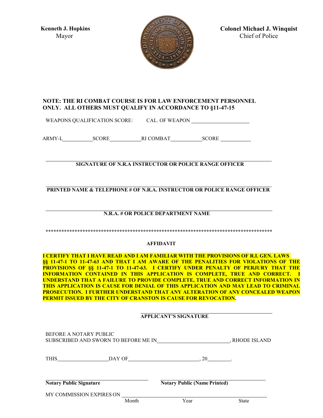

**Colonel Michael J. Winquist**  Chief of Police

# **NOTE: THE RI COMBAT COURSE IS FOR LAW ENFORCEMENT PERSONNEL ONLY. ALL OTHERS MUST QUALIFY IN ACCORDANCE TO §11-47-15**

WEAPONS QUALIFICATION SCORE: CAL. OF WEAPON

ARMY-L SCORE RI COMBAT SCORE

**SIGNATURE OF N.R.A INSTRUCTOR OR POLICE RANGE OFFICER**

**PRINTED NAME & TELEPHONE # OF N.R.A. INSTRUCTOR OR POLICE RANGE OFFICER**

# **N.R.A. # OR POLICE DEPARTMENT NAME**

**\*\*\*\*\*\*\*\*\*\*\*\*\*\*\*\*\*\*\*\*\*\*\*\*\*\*\*\*\*\*\*\*\*\*\*\*\*\*\*\*\*\*\*\*\*\*\*\*\*\*\*\*\*\*\*\*\*\*\*\*\*\*\*\*\*\*\*\*\*\*\*\*\*\*\*\*\*\*\*\*\*\*\*\*\*\***

#### **AFFIDAVIT**

**I CERTIFY THAT I HAVE READ AND I AM FAMILIAR WITH THE PROVISIONS OF R.I. GEN. LAWS §§ 11-47-1 TO 11-47-63 AND THAT I AM AWARE OF THE PENALITIES FOR VIOLATIONS OF THE PROVISIONS OF §§ 11-47-1 TO 11-47-63. I CERTIFY UNDER PENALTY OF PERJURY THAT THE INFORMATION CONTAINED IN THIS APPLICATION IS COMPLETE, TRUE AND CORRECT. I UNDERSTAND THAT A FAILURE TO PROVIDE COMPLETE, TRUE AND CORRECT INFORMATION IN THIS APPLICATION IS CAUSE FOR DENIAL OF THIS APPLICATION AND MAY LEAD TO CRIMINAL PROSECUTION. I FURTHER UNDERSTAND THAT ANY ALTERATION OF ANY CONCEALED WEAPON PERMIT ISSUED BY THE CITY OF CRANSTON IS CAUSE FOR REVOCATION.**

#### **APPLICANT'S SIGNATURE**

| BEFORE A NOTARY PUBLIC<br>SUBSCRIBED AND SWORN TO BEFORE ME IN | . RHODE ISLAND |                                     |              |
|----------------------------------------------------------------|----------------|-------------------------------------|--------------|
| <b>THIS</b>                                                    | DAY OF         | 20                                  |              |
| <b>Notary Public Signature</b>                                 |                | <b>Notary Public (Name Printed)</b> |              |
| MY COMMISSION EXPIRES ON                                       | Month          | Year                                | <b>State</b> |